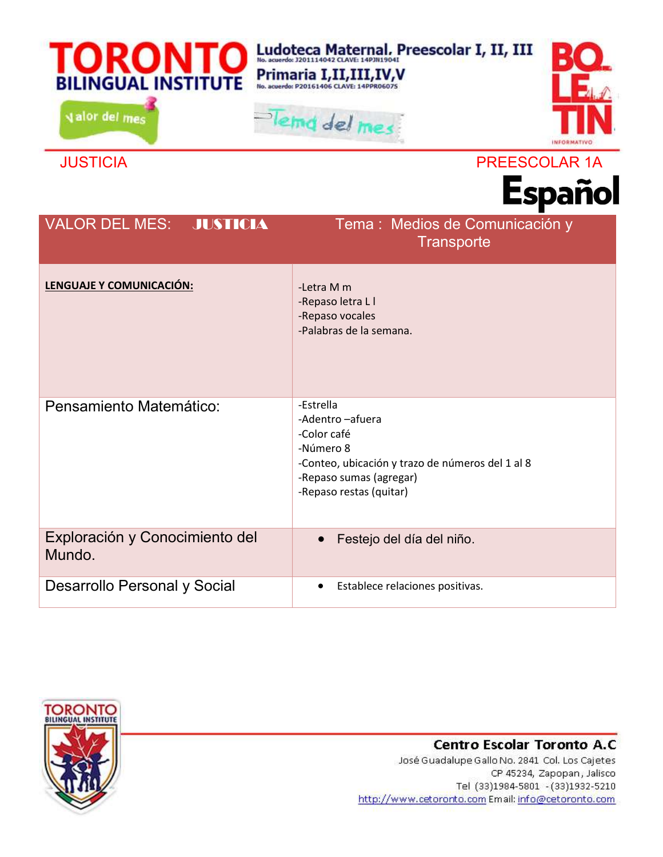| <b>BILINGUAL INSTITUTE</b><br>valor del mes | Ludoteca Maternal, Preescolar I, II, III<br>Primaria I,II,III,IV,V<br>Tema del mes<br>NEORMATIV                                                                     |
|---------------------------------------------|---------------------------------------------------------------------------------------------------------------------------------------------------------------------|
| <b>JUSTICIA</b>                             | PREESCOLAR 1A<br><b>Español</b>                                                                                                                                     |
| <b>VALOR DEL MES:</b><br><b>JUSTICIA</b>    | Tema : Medios de Comunicación y<br><b>Transporte</b>                                                                                                                |
| LENGUAJE Y COMUNICACIÓN:                    | -Letra M m<br>-Repaso letra L I<br>-Repaso vocales<br>-Palabras de la semana.                                                                                       |
| Pensamiento Matemático:                     | -Estrella<br>-Adentro -afuera<br>-Color café<br>-Número 8<br>-Conteo, ubicación y trazo de números del 1 al 8<br>-Repaso sumas (agregar)<br>-Repaso restas (quitar) |
| Exploración y Conocimiento del<br>Mundo.    | Festejo del día del niño.                                                                                                                                           |
| Desarrollo Personal y Social                | Establece relaciones positivas.                                                                                                                                     |



## Centro Escolar Toronto A.C

José Guadalupe Gallo No. 2841 Col. Los Cajetes CP 45234, Zapopan, Jalisco Tel (33)1984-5801 - (33)1932-5210 http://www.cetoronto.com Email: info@cetoronto.com